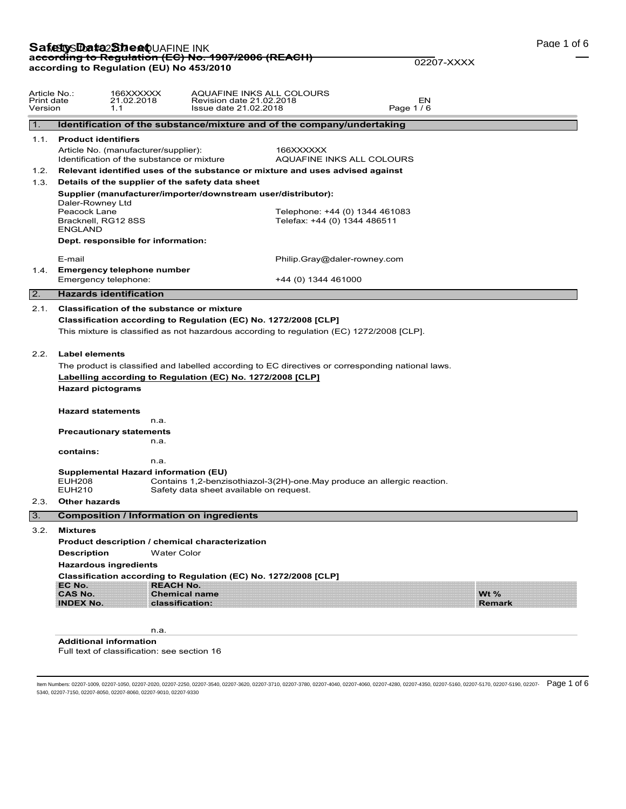# **Safetty Data Sheet** UAFINE INK<br>a<del>ccording to Regulation (EC) No. 1907/2006 (REACH)</del> **according to Regulation (EU) No 453/2010**

| Article No.:<br>Print date<br>Version | 166XXXXXX<br>21.02.2018<br>1.1                                            | Issue date 21.02.2018                                           | AQUAFINE INKS ALL COLOURS<br>Revision date 21.02.2018                                             | EN<br>Page 1/6 |               |  |
|---------------------------------------|---------------------------------------------------------------------------|-----------------------------------------------------------------|---------------------------------------------------------------------------------------------------|----------------|---------------|--|
| 1.                                    |                                                                           |                                                                 | Identification of the substance/mixture and of the company/undertaking                            |                |               |  |
| 1.1.                                  | <b>Product identifiers</b>                                                |                                                                 |                                                                                                   |                |               |  |
|                                       | Article No. (manufacturer/supplier):                                      | Identification of the substance or mixture                      | 166XXXXXX<br>AQUAFINE INKS ALL COLOURS                                                            |                |               |  |
|                                       |                                                                           |                                                                 | 1.2. Relevant identified uses of the substance or mixture and uses advised against                |                |               |  |
| 1.3.                                  |                                                                           | Details of the supplier of the safety data sheet                |                                                                                                   |                |               |  |
|                                       |                                                                           | Supplier (manufacturer/importer/downstream user/distributor):   |                                                                                                   |                |               |  |
|                                       | Daler-Rowney Ltd<br>Peacock Lane<br>Bracknell, RG12 8SS<br><b>ENGLAND</b> |                                                                 | Telephone: +44 (0) 1344 461083<br>Telefax: +44 (0) 1344 486511                                    |                |               |  |
|                                       | Dept. responsible for information:                                        |                                                                 |                                                                                                   |                |               |  |
|                                       | E-mail                                                                    |                                                                 | Philip.Gray@daler-rowney.com                                                                      |                |               |  |
| 1.4.                                  | <b>Emergency telephone number</b>                                         |                                                                 |                                                                                                   |                |               |  |
|                                       | Emergency telephone:                                                      |                                                                 | +44 (0) 1344 461000                                                                               |                |               |  |
| 2.                                    | <b>Hazards identification</b>                                             |                                                                 |                                                                                                   |                |               |  |
| 2.1.                                  |                                                                           | Classification of the substance or mixture                      |                                                                                                   |                |               |  |
|                                       |                                                                           | Classification according to Regulation (EC) No. 1272/2008 [CLP] |                                                                                                   |                |               |  |
|                                       |                                                                           |                                                                 | This mixture is classified as not hazardous according to regulation (EC) 1272/2008 [CLP].         |                |               |  |
|                                       |                                                                           |                                                                 |                                                                                                   |                |               |  |
| 2.2.                                  | <b>Label elements</b>                                                     |                                                                 |                                                                                                   |                |               |  |
|                                       |                                                                           |                                                                 | The product is classified and labelled according to EC directives or corresponding national laws. |                |               |  |
|                                       | <b>Hazard pictograms</b>                                                  | Labelling according to Regulation (EC) No. 1272/2008 [CLP]      |                                                                                                   |                |               |  |
|                                       |                                                                           |                                                                 |                                                                                                   |                |               |  |
|                                       | <b>Hazard statements</b>                                                  |                                                                 |                                                                                                   |                |               |  |
|                                       |                                                                           | n.a.                                                            |                                                                                                   |                |               |  |
|                                       | <b>Precautionary statements</b>                                           | n.a.                                                            |                                                                                                   |                |               |  |
|                                       | contains:                                                                 |                                                                 |                                                                                                   |                |               |  |
|                                       |                                                                           | n.a.                                                            |                                                                                                   |                |               |  |
|                                       |                                                                           | Supplemental Hazard information (EU)                            |                                                                                                   |                |               |  |
|                                       | <b>EUH208</b><br><b>EUH210</b>                                            | Safety data sheet available on request.                         | Contains 1,2-benzisothiazol-3(2H)-one. May produce an allergic reaction.                          |                |               |  |
| 2.3.                                  | <b>Other hazards</b>                                                      |                                                                 |                                                                                                   |                |               |  |
| 3.                                    |                                                                           | <b>Composition / Information on ingredients</b>                 |                                                                                                   |                |               |  |
| 3.2.                                  | <b>Mixtures</b>                                                           |                                                                 |                                                                                                   |                |               |  |
|                                       |                                                                           | Product description / chemical characterization                 |                                                                                                   |                |               |  |
|                                       | <b>Description</b>                                                        | <b>Water Color</b>                                              |                                                                                                   |                |               |  |
|                                       | <b>Hazardous ingredients</b>                                              |                                                                 |                                                                                                   |                |               |  |
|                                       |                                                                           | Classification according to Regulation (EC) No. 1272/2008 [CLP] |                                                                                                   |                |               |  |
|                                       | EC No.<br><b>CAS No.</b>                                                  | <b>REACH No.</b><br><b>Chemical name</b>                        |                                                                                                   |                | Wt $%$        |  |
|                                       | <b>INDEX No.</b>                                                          | classification:                                                 |                                                                                                   |                | <b>Remark</b> |  |
|                                       |                                                                           |                                                                 |                                                                                                   |                |               |  |
|                                       |                                                                           | n.a.                                                            |                                                                                                   |                |               |  |
|                                       |                                                                           |                                                                 |                                                                                                   |                |               |  |

**Additional information**

Full text of classification: see section 16

ltem Numbers: 02207-1009, 02207-1050, 02207-2020, 02207-2250, 02207-3540, 02207-3620, 02207-3780, 02207-4040, 02207-4050, 02207-4250, 02207-4350, 02207-5160, 02207-5170, 02207-5170, 02207-5190, 02207-5190, 02207-5170, 0220 5340, 02207-7150, 02207-8050, 02207-8060, 02207-9010, 02207-9330

02207-XXXX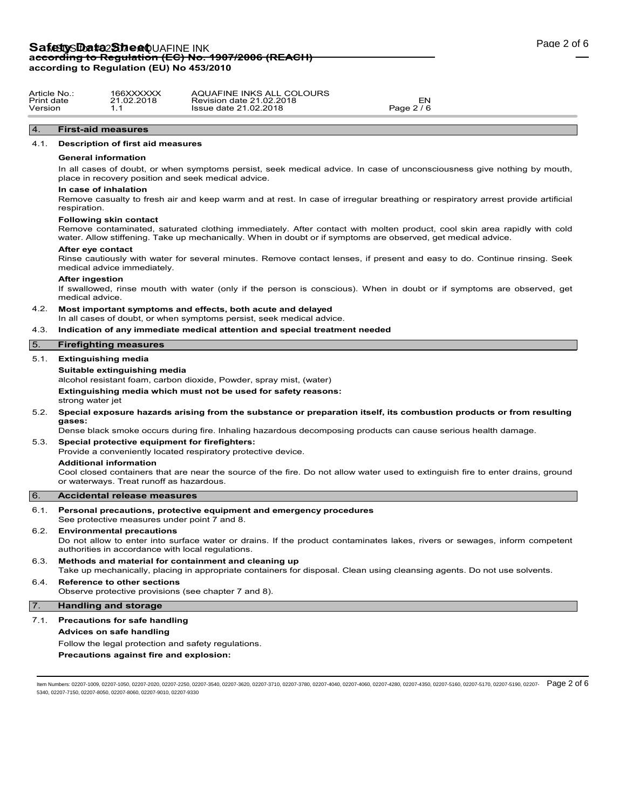| Article No | 166XXXXXX  | AQUAFINE INKS ALL COLOURS |            |
|------------|------------|---------------------------|------------|
| Print date | 21.02.2018 | Revision date 21.02.2018  | – IV.      |
| Version    |            | Issue date 21.02.2018     | Page 2 / 6 |

### 4. **First-aid measures**

#### 4.1. **Description of first aid measures**

#### **General information**

In all cases of doubt, or when symptoms persist, seek medical advice. In case of unconsciousness give nothing by mouth, place in recovery position and seek medical advice.

#### **In case of inhalation**

Remove casualty to fresh air and keep warm and at rest. In case of irregular breathing or respiratory arrest provide artificial respiration.

#### **Following skin contact**

Remove contaminated, saturated clothing immediately. After contact with molten product, cool skin area rapidly with cold water. Allow stiffening. Take up mechanically. When in doubt or if symptoms are observed, get medical advice.

#### **After eye contact**

Rinse cautiously with water for several minutes. Remove contact lenses, if present and easy to do. Continue rinsing. Seek medical advice immediately.

#### **After ingestion**

If swallowed, rinse mouth with water (only if the person is conscious). When in doubt or if symptoms are observed, get medical advice.

- 4.2. **Most important symptoms and effects, both acute and delayed** In all cases of doubt, or when symptoms persist, seek medical advice.
- 4.3. **Indication of any immediate medical attention and special treatment needed**

### 5. **Firefighting measures**

#### 5.1. **Extinguishing media**

#### **Suitable extinguishing media**

alcohol resistant foam, carbon dioxide, Powder, spray mist, (water)

**Extinguishing media which must not be used for safety reasons:**

#### strong water jet

5.2. **Special exposure hazards arising from the substance or preparation itself, its combustion products or from resulting gases:**

Dense black smoke occurs during fire. Inhaling hazardous decomposing products can cause serious health damage.

#### 5.3. **Special protective equipment for firefighters:**

Provide a conveniently located respiratory protective device.

#### **Additional information**

Cool closed containers that are near the source of the fire. Do not allow water used to extinguish fire to enter drains, ground or waterways. Treat runoff as hazardous.

#### 6. **Accidental release measures**

6.1. **Personal precautions, protective equipment and emergency procedures**

See protective measures under point 7 and 8.

# 6.2. **Environmental precautions**

Do not allow to enter into surface water or drains. If the product contaminates lakes, rivers or sewages, inform competent authorities in accordance with local regulations.

6.3. **Methods and material for containment and cleaning up**

## Take up mechanically, placing in appropriate containers for disposal. Clean using cleansing agents. Do not use solvents.

# 6.4. **Reference to other sections**

Observe protective provisions (see chapter 7 and 8).

## 7. **Handling and storage**

#### 7.1. **Precautions for safe handling**

**Advices on safe handling**

Follow the legal protection and safety regulations.

**Precautions against fire and explosion:**

ltem Numbers: 02207-1009, 02207-1050, 02207-2020, 02207-2250, 02207-3540, 02207-3620, 02207-3780, 02207-4040, 02207-4050, 02207-4250, 02207-4350, 02207-5160, 02207-5170, 02207-5170, 02207-5190, 02207-5190, 02207-5170, 0220 5340, 02207-7150, 02207-8050, 02207-8060, 02207-9010, 02207-9330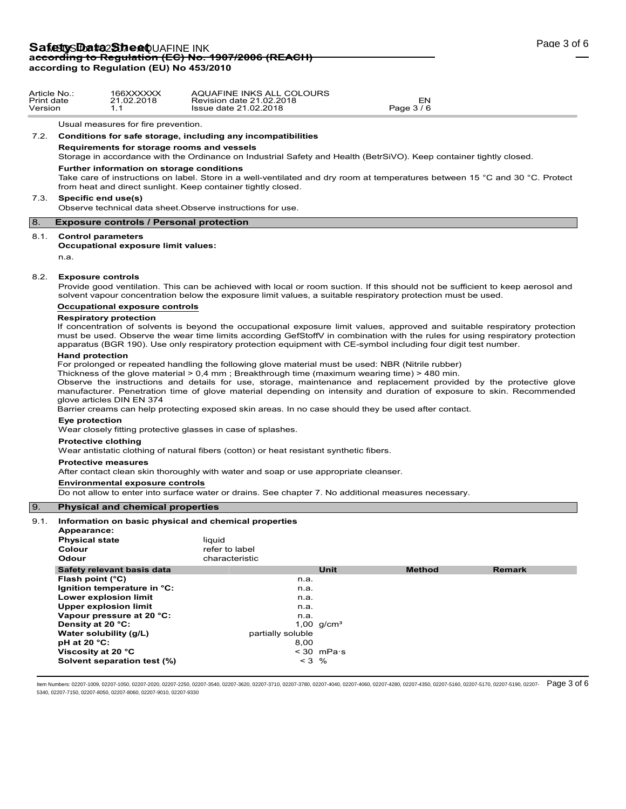Usual measures for fire prevention.

#### 7.2. **Conditions for safe storage, including any incompatibilities**

#### **Requirements for storage rooms and vessels**

Storage in accordance with the Ordinance on Industrial Safety and Health (BetrSiVO). Keep container tightly closed.

#### **Further information on storage conditions**

Take care of instructions on label. Store in a well-ventilated and dry room at temperatures between 15 °C and 30 °C. Protect from heat and direct sunlight. Keep container tightly closed.

#### 7.3. **Specific end use(s)**

Observe technical data sheet.Observe instructions for use.

#### 8. **Exposure controls / Personal protection**

#### 8.1. **Control parameters**

**Occupational exposure limit values:**

n.a.

#### 8.2. **Exposure controls**

Provide good ventilation. This can be achieved with local or room suction. If this should not be sufficient to keep aerosol and solvent vapour concentration below the exposure limit values, a suitable respiratory protection must be used.

#### **Occupational exposure controls**

#### **Respiratory protection**

If concentration of solvents is beyond the occupational exposure limit values, approved and suitable respiratory protection must be used. Observe the wear time limits according GefStoffV in combination with the rules for using respiratory protection apparatus (BGR 190). Use only respiratory protection equipment with CE-symbol including four digit test number.

#### **Hand protection**

For prolonged or repeated handling the following glove material must be used: NBR (Nitrile rubber)

Thickness of the glove material > 0,4 mm ; Breakthrough time (maximum wearing time) > 480 min.

Observe the instructions and details for use, storage, maintenance and replacement provided by the protective glove manufacturer. Penetration time of glove material depending on intensity and duration of exposure to skin. Recommended glove articles DIN EN 374

Barrier creams can help protecting exposed skin areas. In no case should they be used after contact.

#### **Eye protection**

Wear closely fitting protective glasses in case of splashes.

#### **Protective clothing**

Wear antistatic clothing of natural fibers (cotton) or heat resistant synthetic fibers.

#### **Protective measures**

After contact clean skin thoroughly with water and soap or use appropriate cleanser.

#### **Environmental exposure controls**

Do not allow to enter into surface water or drains. See chapter 7. No additional measures necessary.

#### 9. **Physical and chemical properties**

| 9.1. | Information on basic physical and chemical properties<br>Appearance: |                   |                 |               |               |  |  |  |
|------|----------------------------------------------------------------------|-------------------|-----------------|---------------|---------------|--|--|--|
|      | <b>Physical state</b>                                                | liquid            |                 |               |               |  |  |  |
|      | Colour                                                               | refer to label    |                 |               |               |  |  |  |
|      | Odour                                                                | characteristic    |                 |               |               |  |  |  |
|      | Safety relevant basis data                                           |                   | <b>Unit</b>     | <b>Method</b> | <b>Remark</b> |  |  |  |
|      | Flash point $(^{\circ}C)$                                            | n.a.              |                 |               |               |  |  |  |
|      | Ignition temperature in °C:                                          | n.a.              |                 |               |               |  |  |  |
|      | Lower explosion limit                                                | n.a.              |                 |               |               |  |  |  |
|      | <b>Upper explosion limit</b>                                         | n.a.              |                 |               |               |  |  |  |
|      | Vapour pressure at 20 °C:                                            | n.a.              |                 |               |               |  |  |  |
|      | Density at 20 °C:                                                    |                   | 1,00 $q/cm^{3}$ |               |               |  |  |  |
|      | Water solubility (g/L)                                               | partially soluble |                 |               |               |  |  |  |
|      | pH at 20 $°C$ :                                                      | 8.00              |                 |               |               |  |  |  |
|      | Viscosity at 20 °C                                                   |                   | $< 30$ mPas     |               |               |  |  |  |
|      | Solvent separation test (%)                                          | $< 3$ %           |                 |               |               |  |  |  |

ltem Numbers: 02207-1009, 02207-1050, 02207-2020, 02207-2250, 02207-3540, 02207-3620, 02207-3780, 02207-4040, 02207-4060, 02207-4250, 02207-4350, 02207-5160, 02207-5170, 02207-5170, 02207-5190, 02207-5190, 02207-5170, 0220 5340, 02207-7150, 02207-8050, 02207-8060, 02207-9010, 02207-9330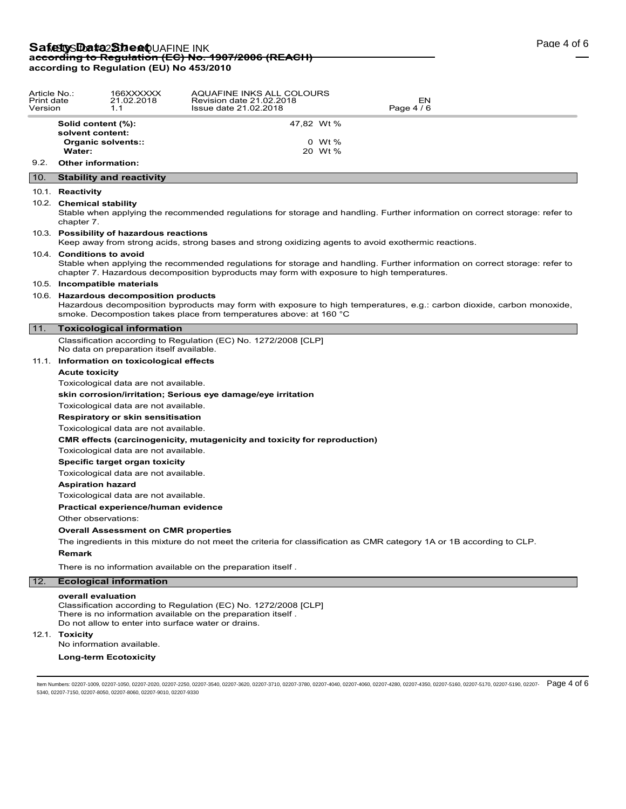# **Safetty Data Sheet** UAFINE INK<br>a<del>ccording to Regulation (EC) No. 1907/2006 (REACH)</del> **according to Regulation (EU) No 453/2010**

| Article No.:<br>Print date<br>Version |                                                                                                                        | 166XXXXXX<br>21.02.2018<br>1.1                                                                                            | AQUAFINE INKS ALL COLOURS<br>Revision date 21.02.2018<br>Issue date 21.02.2018                                                                                                         | EN<br>Page 4 / 6                                                                                                            |  |  |  |  |
|---------------------------------------|------------------------------------------------------------------------------------------------------------------------|---------------------------------------------------------------------------------------------------------------------------|----------------------------------------------------------------------------------------------------------------------------------------------------------------------------------------|-----------------------------------------------------------------------------------------------------------------------------|--|--|--|--|
|                                       | Solid content (%):<br>solvent content:<br>Water:                                                                       | Organic solvents::                                                                                                        | 47,82 Wt %<br>0 Wt %<br>20 Wt %                                                                                                                                                        |                                                                                                                             |  |  |  |  |
|                                       | 9.2. Other information:                                                                                                |                                                                                                                           |                                                                                                                                                                                        |                                                                                                                             |  |  |  |  |
| 10.                                   |                                                                                                                        | <b>Stability and reactivity</b>                                                                                           |                                                                                                                                                                                        |                                                                                                                             |  |  |  |  |
|                                       | 10.1. Reactivity                                                                                                       |                                                                                                                           |                                                                                                                                                                                        |                                                                                                                             |  |  |  |  |
|                                       | 10.2. Chemical stability                                                                                               |                                                                                                                           |                                                                                                                                                                                        |                                                                                                                             |  |  |  |  |
|                                       | chapter 7.                                                                                                             |                                                                                                                           |                                                                                                                                                                                        | Stable when applying the recommended regulations for storage and handling. Further information on correct storage: refer to |  |  |  |  |
|                                       |                                                                                                                        | 10.3. Possibility of hazardous reactions                                                                                  | Keep away from strong acids, strong bases and strong oxidizing agents to avoid exothermic reactions.                                                                                   |                                                                                                                             |  |  |  |  |
|                                       | 10.4. Conditions to avoid                                                                                              |                                                                                                                           | chapter 7. Hazardous decomposition byproducts may form with exposure to high temperatures.                                                                                             | Stable when applying the recommended regulations for storage and handling. Further information on correct storage: refer to |  |  |  |  |
|                                       |                                                                                                                        | 10.5. Incompatible materials                                                                                              |                                                                                                                                                                                        |                                                                                                                             |  |  |  |  |
|                                       |                                                                                                                        | 10.6. Hazardous decomposition products                                                                                    | smoke. Decompostion takes place from temperatures above: at 160 °C                                                                                                                     | Hazardous decomposition byproducts may form with exposure to high temperatures, e.g.: carbon dioxide, carbon monoxide,      |  |  |  |  |
| 11.                                   |                                                                                                                        | <b>Toxicological information</b>                                                                                          |                                                                                                                                                                                        |                                                                                                                             |  |  |  |  |
|                                       |                                                                                                                        | No data on preparation itself available.                                                                                  | Classification according to Regulation (EC) No. 1272/2008 [CLP]                                                                                                                        |                                                                                                                             |  |  |  |  |
|                                       |                                                                                                                        | 11.1. Information on toxicological effects                                                                                |                                                                                                                                                                                        |                                                                                                                             |  |  |  |  |
|                                       | <b>Acute toxicity</b>                                                                                                  |                                                                                                                           |                                                                                                                                                                                        |                                                                                                                             |  |  |  |  |
|                                       |                                                                                                                        | Toxicological data are not available.                                                                                     |                                                                                                                                                                                        |                                                                                                                             |  |  |  |  |
|                                       |                                                                                                                        |                                                                                                                           | skin corrosion/irritation; Serious eye damage/eye irritation                                                                                                                           |                                                                                                                             |  |  |  |  |
|                                       |                                                                                                                        | Toxicological data are not available.                                                                                     |                                                                                                                                                                                        |                                                                                                                             |  |  |  |  |
|                                       |                                                                                                                        | <b>Respiratory or skin sensitisation</b>                                                                                  |                                                                                                                                                                                        |                                                                                                                             |  |  |  |  |
|                                       |                                                                                                                        | Toxicological data are not available.                                                                                     |                                                                                                                                                                                        |                                                                                                                             |  |  |  |  |
|                                       |                                                                                                                        | <b>CMR effects (carcinogenicity, mutagenicity and toxicity for reproduction)</b><br>Toxicological data are not available. |                                                                                                                                                                                        |                                                                                                                             |  |  |  |  |
|                                       |                                                                                                                        | Specific target organ toxicity                                                                                            |                                                                                                                                                                                        |                                                                                                                             |  |  |  |  |
|                                       |                                                                                                                        | Toxicological data are not available.                                                                                     |                                                                                                                                                                                        |                                                                                                                             |  |  |  |  |
|                                       | <b>Aspiration hazard</b>                                                                                               |                                                                                                                           |                                                                                                                                                                                        |                                                                                                                             |  |  |  |  |
|                                       | Toxicological data are not available.                                                                                  |                                                                                                                           |                                                                                                                                                                                        |                                                                                                                             |  |  |  |  |
|                                       | Practical experience/human evidence                                                                                    |                                                                                                                           |                                                                                                                                                                                        |                                                                                                                             |  |  |  |  |
|                                       | Other observations:                                                                                                    |                                                                                                                           |                                                                                                                                                                                        |                                                                                                                             |  |  |  |  |
|                                       |                                                                                                                        | <b>Overall Assessment on CMR properties</b>                                                                               |                                                                                                                                                                                        |                                                                                                                             |  |  |  |  |
|                                       | The ingredients in this mixture do not meet the criteria for classification as CMR category 1A or 1B according to CLP. |                                                                                                                           |                                                                                                                                                                                        |                                                                                                                             |  |  |  |  |
|                                       | Remark                                                                                                                 |                                                                                                                           |                                                                                                                                                                                        |                                                                                                                             |  |  |  |  |
|                                       |                                                                                                                        |                                                                                                                           | There is no information available on the preparation itself.                                                                                                                           |                                                                                                                             |  |  |  |  |
| 12.                                   |                                                                                                                        | <b>Ecological information</b>                                                                                             |                                                                                                                                                                                        |                                                                                                                             |  |  |  |  |
|                                       | overall evaluation                                                                                                     |                                                                                                                           | Classification according to Regulation (EC) No. 1272/2008 [CLP]<br>There is no information available on the preparation itself.<br>Do not allow to enter into surface water or drains. |                                                                                                                             |  |  |  |  |
|                                       | 12.1. Toxicity                                                                                                         | No information available.                                                                                                 |                                                                                                                                                                                        |                                                                                                                             |  |  |  |  |

## **Long-term Ecotoxicity**

ltem Numbers: 02207-1009, 02207-1050, 02207-2020, 02207-2250, 02207-3540, 02207-3620, 02207-3780, 02207-4040, 02207-4050, 02207-4250, 02207-4350, 02207-5160, 02207-5170, 02207-5170, 02207-5190, 02207-5190, 02207-5170, 0220 5340, 02207-7150, 02207-8050, 02207-8060, 02207-9010, 02207-9330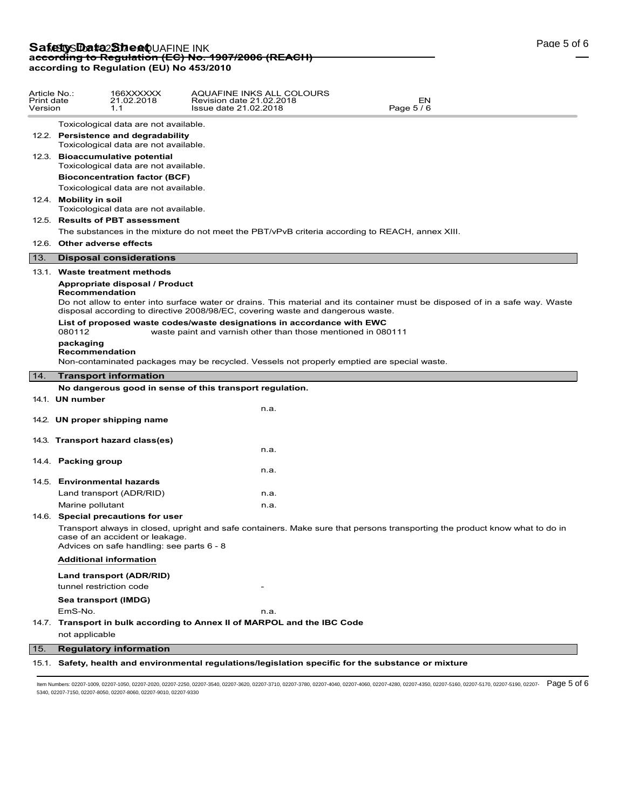# **Safetty Data Sheet** UAFINE INK<br>a<del>ccording to Regulation (EC) No. 1907/2006 (REACH)</del> **according to Regulation (EU) No 453/2010**

| Article No.:<br>Print date<br>Version |                             | 166XXXXXX<br>21.02.2018<br>1.1                                               | AQUAFINE INKS ALL COLOURS<br>EΝ<br>Revision date 21.02.2018<br>Page 5/6<br>Issue date 21.02.2018                                                                                                                |
|---------------------------------------|-----------------------------|------------------------------------------------------------------------------|-----------------------------------------------------------------------------------------------------------------------------------------------------------------------------------------------------------------|
|                                       |                             | Toxicological data are not available.                                        |                                                                                                                                                                                                                 |
|                                       |                             | 12.2. Persistence and degradability<br>Toxicological data are not available. |                                                                                                                                                                                                                 |
|                                       |                             | 12.3. Bioaccumulative potential<br>Toxicological data are not available.     |                                                                                                                                                                                                                 |
|                                       |                             | <b>Bioconcentration factor (BCF)</b>                                         |                                                                                                                                                                                                                 |
|                                       |                             | Toxicological data are not available.                                        |                                                                                                                                                                                                                 |
|                                       | 12.4. Mobility in soil      | Toxicological data are not available.                                        |                                                                                                                                                                                                                 |
|                                       |                             | 12.5. Results of PBT assessment                                              |                                                                                                                                                                                                                 |
|                                       |                             |                                                                              | The substances in the mixture do not meet the PBT/vPvB criteria according to REACH, annex XIII.                                                                                                                 |
|                                       |                             | 12.6. Other adverse effects                                                  |                                                                                                                                                                                                                 |
| 13.                                   |                             | <b>Disposal considerations</b>                                               |                                                                                                                                                                                                                 |
|                                       |                             | 13.1. Waste treatment methods                                                |                                                                                                                                                                                                                 |
|                                       | Recommendation              | Appropriate disposal / Product                                               |                                                                                                                                                                                                                 |
|                                       |                             |                                                                              | Do not allow to enter into surface water or drains. This material and its container must be disposed of in a safe way. Waste<br>disposal according to directive 2008/98/EC, covering waste and dangerous waste. |
|                                       |                             |                                                                              | List of proposed waste codes/waste designations in accordance with EWC                                                                                                                                          |
|                                       | 080112                      |                                                                              | waste paint and varnish other than those mentioned in 080111                                                                                                                                                    |
|                                       | packaging<br>Recommendation |                                                                              | Non-contaminated packages may be recycled. Vessels not properly emptied are special waste.                                                                                                                      |
| 14.                                   |                             | <b>Transport information</b>                                                 |                                                                                                                                                                                                                 |
|                                       |                             |                                                                              | No dangerous good in sense of this transport regulation.                                                                                                                                                        |
|                                       | 14.1. UN number             |                                                                              |                                                                                                                                                                                                                 |
|                                       |                             |                                                                              | n.a.                                                                                                                                                                                                            |
|                                       |                             | 14.2. UN proper shipping name                                                |                                                                                                                                                                                                                 |
|                                       |                             | 14.3. Transport hazard class(es)                                             |                                                                                                                                                                                                                 |
|                                       |                             |                                                                              | n.a.                                                                                                                                                                                                            |
|                                       | 14.4. Packing group         |                                                                              |                                                                                                                                                                                                                 |
|                                       |                             |                                                                              | n.a.                                                                                                                                                                                                            |
|                                       |                             | 14.5. Environmental hazards                                                  |                                                                                                                                                                                                                 |
|                                       | Marine pollutant            | Land transport (ADR/RID)                                                     | n.a.<br>n.a.                                                                                                                                                                                                    |
|                                       |                             | 14.6. Special precautions for user                                           |                                                                                                                                                                                                                 |
|                                       |                             | case of an accident or leakage.<br>Advices on safe handling: see parts 6 - 8 | Transport always in closed, upright and safe containers. Make sure that persons transporting the product know what to do in                                                                                     |
|                                       |                             | <b>Additional information</b>                                                |                                                                                                                                                                                                                 |
|                                       |                             | Land transport (ADR/RID)                                                     |                                                                                                                                                                                                                 |
|                                       |                             | tunnel restriction code                                                      |                                                                                                                                                                                                                 |
|                                       |                             | Sea transport (IMDG)                                                         |                                                                                                                                                                                                                 |
|                                       | EmS-No.                     |                                                                              | n.a.                                                                                                                                                                                                            |
|                                       |                             |                                                                              | 14.7. Transport in bulk according to Annex II of MARPOL and the IBC Code                                                                                                                                        |
|                                       | not applicable              |                                                                              |                                                                                                                                                                                                                 |
| 15.                                   |                             | <b>Regulatory information</b>                                                |                                                                                                                                                                                                                 |
|                                       |                             |                                                                              | 15.1. Safety, health and environmental regulations/legislation specific for the substance or mixture                                                                                                            |

ltem Numbers: 02207-1009, 02207-1050, 02207-2020, 02207-2250, 02207-3540, 02207-3620, 02207-3780, 02207-4040, 02207-4050, 02207-4250, 02207-4350, 02207-5160, 02207-5170, 02207-5170, 02207-5190, 02207-5190, 02207-5170, 0220 5340, 02207-7150, 02207-8050, 02207-8060, 02207-9010, 02207-9330